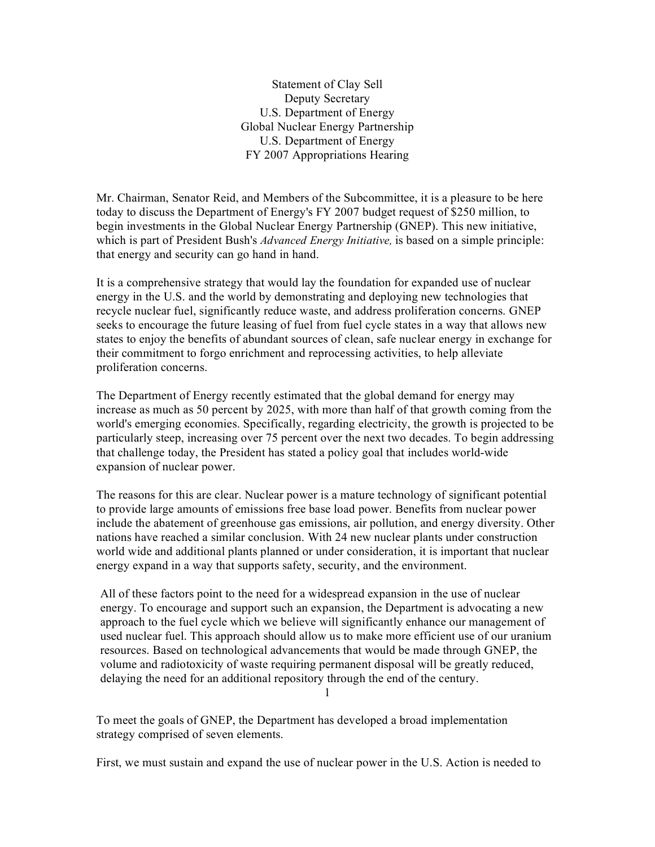Statement of Clay Sell Deputy Secretary U.S. Department of Energy Global Nuclear Energy Partnership U.S. Department of Energy FY 2007 Appropriations Hearing

Mr. Chairman, Senator Reid, and Members of the Subcommittee, it is a pleasure to be here today to discuss the Department of Energy's FY 2007 budget request of \$250 million, to begin investments in the Global Nuclear Energy Partnership (GNEP). This new initiative, which is part of President Bush's *Advanced Energy Initiative,* is based on a simple principle: that energy and security can go hand in hand.

It is a comprehensive strategy that would lay the foundation for expanded use of nuclear energy in the U.S. and the world by demonstrating and deploying new technologies that recycle nuclear fuel, significantly reduce waste, and address proliferation concerns. GNEP seeks to encourage the future leasing of fuel from fuel cycle states in a way that allows new states to enjoy the benefits of abundant sources of clean, safe nuclear energy in exchange for their commitment to forgo enrichment and reprocessing activities, to help alleviate proliferation concerns.

The Department of Energy recently estimated that the global demand for energy may increase as much as 50 percent by 2025, with more than half of that growth coming from the world's emerging economies. Specifically, regarding electricity, the growth is projected to be particularly steep, increasing over 75 percent over the next two decades. To begin addressing that challenge today, the President has stated a policy goal that includes world-wide expansion of nuclear power.

The reasons for this are clear. Nuclear power is a mature technology of significant potential to provide large amounts of emissions free base load power. Benefits from nuclear power include the abatement of greenhouse gas emissions, air pollution, and energy diversity. Other nations have reached a similar conclusion. With 24 new nuclear plants under construction world wide and additional plants planned or under consideration, it is important that nuclear energy expand in a way that supports safety, security, and the environment.

All of these factors point to the need for a widespread expansion in the use of nuclear energy. To encourage and support such an expansion, the Department is advocating a new approach to the fuel cycle which we believe will significantly enhance our management of used nuclear fuel. This approach should allow us to make more efficient use of our uranium resources. Based on technological advancements that would be made through GNEP, the volume and radiotoxicity of waste requiring permanent disposal will be greatly reduced, delaying the need for an additional repository through the end of the century.

1

To meet the goals of GNEP, the Department has developed a broad implementation strategy comprised of seven elements.

First, we must sustain and expand the use of nuclear power in the U.S. Action is needed to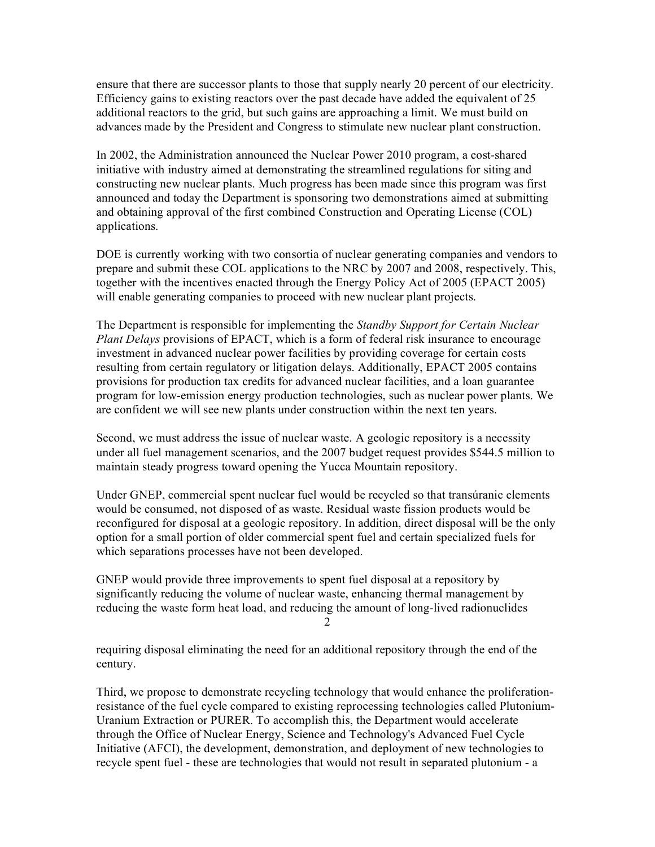ensure that there are successor plants to those that supply nearly 20 percent of our electricity. Efficiency gains to existing reactors over the past decade have added the equivalent of 25 additional reactors to the grid, but such gains are approaching a limit. We must build on advances made by the President and Congress to stimulate new nuclear plant construction.

In 2002, the Administration announced the Nuclear Power 2010 program, a cost-shared initiative with industry aimed at demonstrating the streamlined regulations for siting and constructing new nuclear plants. Much progress has been made since this program was first announced and today the Department is sponsoring two demonstrations aimed at submitting and obtaining approval of the first combined Construction and Operating License (COL) applications.

DOE is currently working with two consortia of nuclear generating companies and vendors to prepare and submit these COL applications to the NRC by 2007 and 2008, respectively. This, together with the incentives enacted through the Energy Policy Act of 2005 (EPACT 2005) will enable generating companies to proceed with new nuclear plant projects.

The Department is responsible for implementing the *Standby Support for Certain Nuclear Plant Delays* provisions of EPACT, which is a form of federal risk insurance to encourage investment in advanced nuclear power facilities by providing coverage for certain costs resulting from certain regulatory or litigation delays. Additionally, EPACT 2005 contains provisions for production tax credits for advanced nuclear facilities, and a loan guarantee program for low-emission energy production technologies, such as nuclear power plants. We are confident we will see new plants under construction within the next ten years.

Second, we must address the issue of nuclear waste. A geologic repository is a necessity under all fuel management scenarios, and the 2007 budget request provides \$544.5 million to maintain steady progress toward opening the Yucca Mountain repository.

Under GNEP, commercial spent nuclear fuel would be recycled so that transúranic elements would be consumed, not disposed of as waste. Residual waste fission products would be reconfigured for disposal at a geologic repository. In addition, direct disposal will be the only option for a small portion of older commercial spent fuel and certain specialized fuels for which separations processes have not been developed.

GNEP would provide three improvements to spent fuel disposal at a repository by significantly reducing the volume of nuclear waste, enhancing thermal management by reducing the waste form heat load, and reducing the amount of long-lived radionuclides 2

requiring disposal eliminating the need for an additional repository through the end of the century.

Third, we propose to demonstrate recycling technology that would enhance the proliferationresistance of the fuel cycle compared to existing reprocessing technologies called Plutonium-Uranium Extraction or PURER. To accomplish this, the Department would accelerate through the Office of Nuclear Energy, Science and Technology's Advanced Fuel Cycle Initiative (AFCI), the development, demonstration, and deployment of new technologies to recycle spent fuel - these are technologies that would not result in separated plutonium - a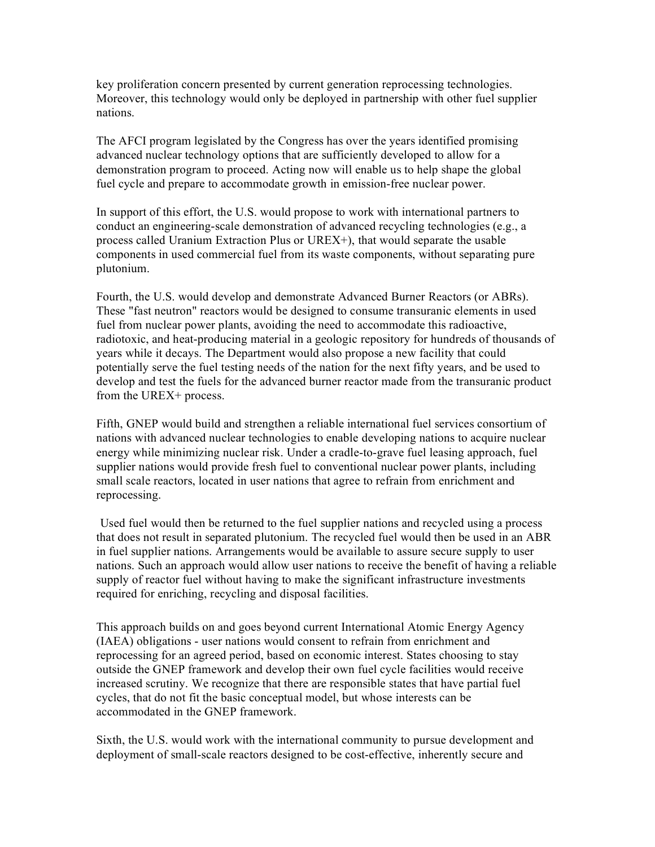key proliferation concern presented by current generation reprocessing technologies. Moreover, this technology would only be deployed in partnership with other fuel supplier nations.

The AFCI program legislated by the Congress has over the years identified promising advanced nuclear technology options that are sufficiently developed to allow for a demonstration program to proceed. Acting now will enable us to help shape the global fuel cycle and prepare to accommodate growth in emission-free nuclear power.

In support of this effort, the U.S. would propose to work with international partners to conduct an engineering-scale demonstration of advanced recycling technologies (e.g., a process called Uranium Extraction Plus or UREX+), that would separate the usable components in used commercial fuel from its waste components, without separating pure plutonium.

Fourth, the U.S. would develop and demonstrate Advanced Burner Reactors (or ABRs). These "fast neutron" reactors would be designed to consume transuranic elements in used fuel from nuclear power plants, avoiding the need to accommodate this radioactive, radiotoxic, and heat-producing material in a geologic repository for hundreds of thousands of years while it decays. The Department would also propose a new facility that could potentially serve the fuel testing needs of the nation for the next fifty years, and be used to develop and test the fuels for the advanced burner reactor made from the transuranic product from the UREX+ process.

Fifth, GNEP would build and strengthen a reliable international fuel services consortium of nations with advanced nuclear technologies to enable developing nations to acquire nuclear energy while minimizing nuclear risk. Under a cradle-to-grave fuel leasing approach, fuel supplier nations would provide fresh fuel to conventional nuclear power plants, including small scale reactors, located in user nations that agree to refrain from enrichment and reprocessing.

Used fuel would then be returned to the fuel supplier nations and recycled using a process that does not result in separated plutonium. The recycled fuel would then be used in an ABR in fuel supplier nations. Arrangements would be available to assure secure supply to user nations. Such an approach would allow user nations to receive the benefit of having a reliable supply of reactor fuel without having to make the significant infrastructure investments required for enriching, recycling and disposal facilities.

This approach builds on and goes beyond current International Atomic Energy Agency (IAEA) obligations - user nations would consent to refrain from enrichment and reprocessing for an agreed period, based on economic interest. States choosing to stay outside the GNEP framework and develop their own fuel cycle facilities would receive increased scrutiny. We recognize that there are responsible states that have partial fuel cycles, that do not fit the basic conceptual model, but whose interests can be accommodated in the GNEP framework.

Sixth, the U.S. would work with the international community to pursue development and deployment of small-scale reactors designed to be cost-effective, inherently secure and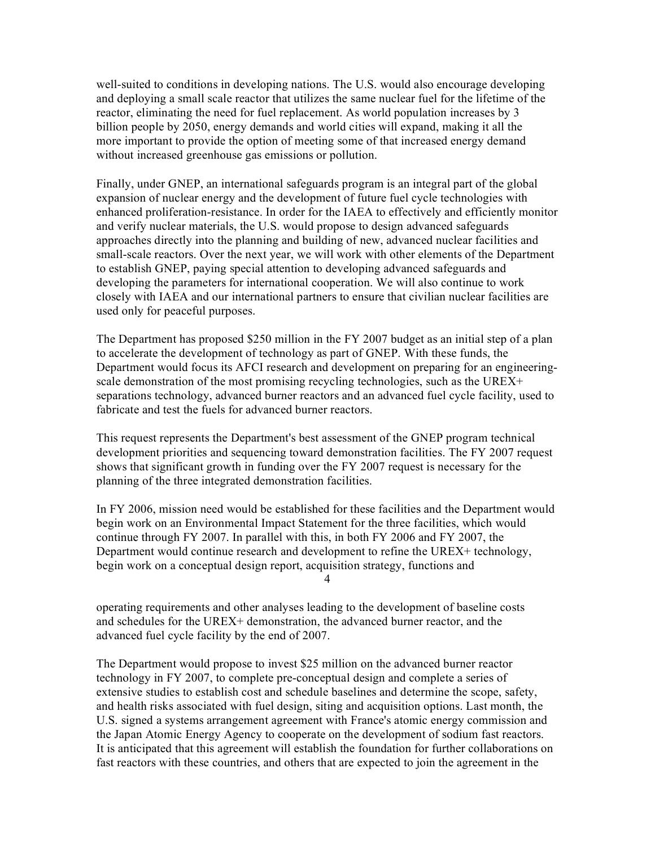well-suited to conditions in developing nations. The U.S. would also encourage developing and deploying a small scale reactor that utilizes the same nuclear fuel for the lifetime of the reactor, eliminating the need for fuel replacement. As world population increases by 3 billion people by 2050, energy demands and world cities will expand, making it all the more important to provide the option of meeting some of that increased energy demand without increased greenhouse gas emissions or pollution.

Finally, under GNEP, an international safeguards program is an integral part of the global expansion of nuclear energy and the development of future fuel cycle technologies with enhanced proliferation-resistance. In order for the IAEA to effectively and efficiently monitor and verify nuclear materials, the U.S. would propose to design advanced safeguards approaches directly into the planning and building of new, advanced nuclear facilities and small-scale reactors. Over the next year, we will work with other elements of the Department to establish GNEP, paying special attention to developing advanced safeguards and developing the parameters for international cooperation. We will also continue to work closely with IAEA and our international partners to ensure that civilian nuclear facilities are used only for peaceful purposes.

The Department has proposed \$250 million in the FY 2007 budget as an initial step of a plan to accelerate the development of technology as part of GNEP. With these funds, the Department would focus its AFCI research and development on preparing for an engineeringscale demonstration of the most promising recycling technologies, such as the UREX+ separations technology, advanced burner reactors and an advanced fuel cycle facility, used to fabricate and test the fuels for advanced burner reactors.

This request represents the Department's best assessment of the GNEP program technical development priorities and sequencing toward demonstration facilities. The FY 2007 request shows that significant growth in funding over the FY 2007 request is necessary for the planning of the three integrated demonstration facilities.

In FY 2006, mission need would be established for these facilities and the Department would begin work on an Environmental Impact Statement for the three facilities, which would continue through FY 2007. In parallel with this, in both FY 2006 and FY 2007, the Department would continue research and development to refine the UREX+ technology, begin work on a conceptual design report, acquisition strategy, functions and 4

operating requirements and other analyses leading to the development of baseline costs and schedules for the UREX+ demonstration, the advanced burner reactor, and the advanced fuel cycle facility by the end of 2007.

The Department would propose to invest \$25 million on the advanced burner reactor technology in FY 2007, to complete pre-conceptual design and complete a series of extensive studies to establish cost and schedule baselines and determine the scope, safety, and health risks associated with fuel design, siting and acquisition options. Last month, the U.S. signed a systems arrangement agreement with France's atomic energy commission and the Japan Atomic Energy Agency to cooperate on the development of sodium fast reactors. It is anticipated that this agreement will establish the foundation for further collaborations on fast reactors with these countries, and others that are expected to join the agreement in the